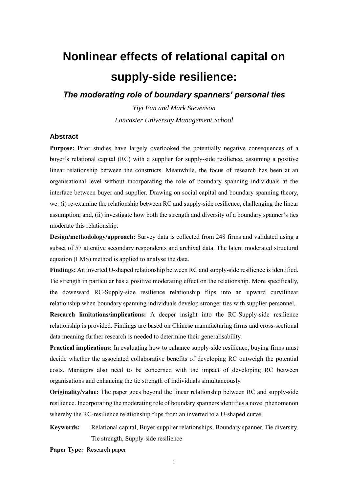# **Nonlinear effects of relational capital on supply-side resilience:**

*The moderating role of boundary spanners' personal ties*

*Yiyi Fan and Mark Stevenson Lancaster University Management School*

#### **Abstract**

**Purpose:** Prior studies have largely overlooked the potentially negative consequences of a buyer's relational capital (RC) with a supplier for supply-side resilience, assuming a positive linear relationship between the constructs. Meanwhile, the focus of research has been at an organisational level without incorporating the role of boundary spanning individuals at the interface between buyer and supplier. Drawing on social capital and boundary spanning theory, we: (i) re-examine the relationship between RC and supply-side resilience, challenging the linear assumption; and, (ii) investigate how both the strength and diversity of a boundary spanner's ties moderate this relationship.

**Design/methodology/approach:** Survey data is collected from 248 firms and validated using a subset of 57 attentive secondary respondents and archival data. The latent moderated structural equation (LMS) method is applied to analyse the data.

**Findings:** An inverted U-shaped relationship between RC and supply-side resilience is identified. Tie strength in particular has a positive moderating effect on the relationship. More specifically, the downward RC-Supply-side resilience relationship flips into an upward curvilinear relationship when boundary spanning individuals develop stronger ties with supplier personnel.

**Research limitations/implications:** A deeper insight into the RC-Supply-side resilience relationship is provided. Findings are based on Chinese manufacturing firms and cross-sectional data meaning further research is needed to determine their generalisability.

**Practical implications:** In evaluating how to enhance supply-side resilience, buying firms must decide whether the associated collaborative benefits of developing RC outweigh the potential costs. Managers also need to be concerned with the impact of developing RC between organisations and enhancing the tie strength of individuals simultaneously.

**Originality/value:** The paper goes beyond the linear relationship between RC and supply-side resilience. Incorporating the moderating role of boundary spanners identifies a novel phenomenon whereby the RC-resilience relationship flips from an inverted to a U-shaped curve.

**Keywords:** Relational capital, Buyer-supplier relationships, Boundary spanner, Tie diversity, Tie strength, Supply-side resilience

**Paper Type:** Research paper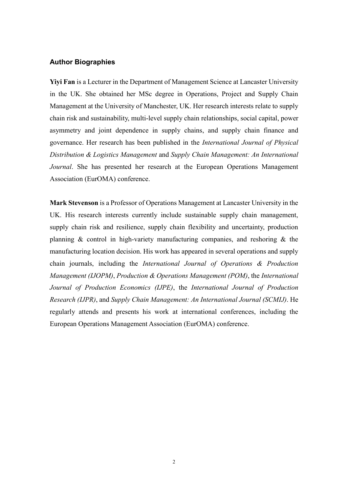# **Author Biographies**

**Yiyi Fan** is a Lecturer in the Department of Management Science at Lancaster University in the UK. She obtained her MSc degree in Operations, Project and Supply Chain Management at the University of Manchester, UK. Her research interests relate to supply chain risk and sustainability, multi-level supply chain relationships, social capital, power asymmetry and joint dependence in supply chains, and supply chain finance and governance. Her research has been published in the *International Journal of Physical Distribution & Logistics Management* and *Supply Chain Management: An International Journal*. She has presented her research at the European Operations Management Association (EurOMA) conference.

**Mark Stevenson** is a Professor of Operations Management at Lancaster University in the UK. His research interests currently include sustainable supply chain management, supply chain risk and resilience, supply chain flexibility and uncertainty, production planning & control in high-variety manufacturing companies, and reshoring & the manufacturing location decision. His work has appeared in several operations and supply chain journals, including the *International Journal of Operations & Production Management (IJOPM)*, *Production & Operations Management (POM)*, the *International Journal of Production Economics (IJPE)*, the *International Journal of Production Research (IJPR)*, and *Supply Chain Management: An International Journal (SCMIJ)*. He regularly attends and presents his work at international conferences, including the European Operations Management Association (EurOMA) conference.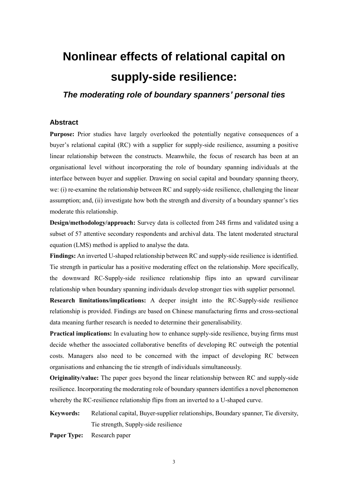# **Nonlinear effects of relational capital on supply-side resilience:**

*The moderating role of boundary spanners' personal ties*

#### **Abstract**

**Purpose:** Prior studies have largely overlooked the potentially negative consequences of a buyer's relational capital (RC) with a supplier for supply-side resilience, assuming a positive linear relationship between the constructs. Meanwhile, the focus of research has been at an organisational level without incorporating the role of boundary spanning individuals at the interface between buyer and supplier. Drawing on social capital and boundary spanning theory, we: (i) re-examine the relationship between RC and supply-side resilience, challenging the linear assumption; and, (ii) investigate how both the strength and diversity of a boundary spanner's ties moderate this relationship.

**Design/methodology/approach:** Survey data is collected from 248 firms and validated using a subset of 57 attentive secondary respondents and archival data. The latent moderated structural equation (LMS) method is applied to analyse the data.

**Findings:** An inverted U-shaped relationship between RC and supply-side resilience is identified. Tie strength in particular has a positive moderating effect on the relationship. More specifically, the downward RC-Supply-side resilience relationship flips into an upward curvilinear relationship when boundary spanning individuals develop stronger ties with supplier personnel.

**Research limitations/implications:** A deeper insight into the RC-Supply-side resilience relationship is provided. Findings are based on Chinese manufacturing firms and cross-sectional data meaning further research is needed to determine their generalisability.

**Practical implications:** In evaluating how to enhance supply-side resilience, buying firms must decide whether the associated collaborative benefits of developing RC outweigh the potential costs. Managers also need to be concerned with the impact of developing RC between organisations and enhancing the tie strength of individuals simultaneously.

**Originality/value:** The paper goes beyond the linear relationship between RC and supply-side resilience. Incorporating the moderating role of boundary spanners identifies a novel phenomenon whereby the RC-resilience relationship flips from an inverted to a U-shaped curve.

**Keywords:** Relational capital, Buyer-supplier relationships, Boundary spanner, Tie diversity, Tie strength, Supply-side resilience

**Paper Type:** Research paper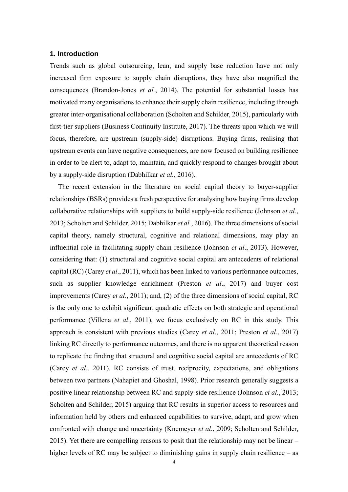#### **1. Introduction**

Trends such as global outsourcing, lean, and supply base reduction have not only increased firm exposure to supply chain disruptions, they have also magnified the consequences (Brandon-Jones *et al.*, 2014). The potential for substantial losses has motivated many organisations to enhance their supply chain resilience, including through greater inter-organisational collaboration (Scholten and Schilder, 2015), particularly with first-tier suppliers (Business Continuity Institute, 2017). The threats upon which we will focus, therefore, are upstream (supply-side) disruptions. Buying firms, realising that upstream events can have negative consequences, are now focused on building resilience in order to be alert to, adapt to, maintain, and quickly respond to changes brought about by a supply-side disruption (Dabhilkar *et al.*, 2016).

The recent extension in the literature on social capital theory to buyer-supplier relationships (BSRs) provides a fresh perspective for analysing how buying firms develop collaborative relationships with suppliers to build supply-side resilience (Johnson *et al.*, 2013; Scholten and Schilder, 2015; Dabhilkar *et al.*, 2016). The three dimensions of social capital theory, namely structural, cognitive and relational dimensions, may play an influential role in facilitating supply chain resilience (Johnson *et al*., 2013). However, considering that: (1) structural and cognitive social capital are antecedents of relational capital (RC) (Carey *et al*., 2011), which has been linked to various performance outcomes, such as supplier knowledge enrichment (Preston *et al*., 2017) and buyer cost improvements (Carey *et al*., 2011); and, (2) of the three dimensions of social capital, RC is the only one to exhibit significant quadratic effects on both strategic and operational performance (Villena *et al*., 2011), we focus exclusively on RC in this study. This approach is consistent with previous studies (Carey *et al*., 2011; Preston *et al*., 2017) linking RC directly to performance outcomes, and there is no apparent theoretical reason to replicate the finding that structural and cognitive social capital are antecedents of RC (Carey *et al*., 2011). RC consists of trust, reciprocity, expectations, and obligations between two partners (Nahapiet and Ghoshal, 1998). Prior research generally suggests a positive linear relationship between RC and supply-side resilience (Johnson *et al.*, 2013; Scholten and Schilder, 2015) arguing that RC results in superior access to resources and information held by others and enhanced capabilities to survive, adapt, and grow when confronted with change and uncertainty (Knemeyer *et al.*, 2009; Scholten and Schilder, 2015). Yet there are compelling reasons to posit that the relationship may not be linear – higher levels of RC may be subject to diminishing gains in supply chain resilience – as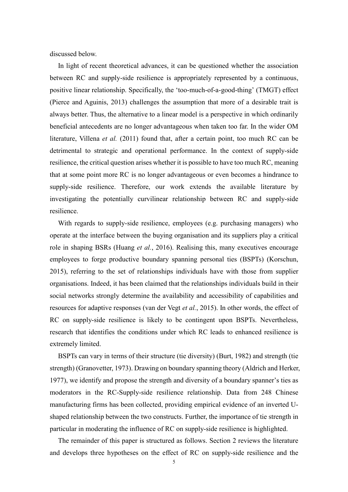discussed below.

In light of recent theoretical advances, it can be questioned whether the association between RC and supply-side resilience is appropriately represented by a continuous, positive linear relationship. Specifically, the 'too-much-of-a-good-thing' (TMGT) effect (Pierce and Aguinis, 2013) challenges the assumption that more of a desirable trait is always better. Thus, the alternative to a linear model is a perspective in which ordinarily beneficial antecedents are no longer advantageous when taken too far. In the wider OM literature, Villena *et al.* (2011) found that, after a certain point, too much RC can be detrimental to strategic and operational performance. In the context of supply-side resilience, the critical question arises whether it is possible to have too much RC, meaning that at some point more RC is no longer advantageous or even becomes a hindrance to supply-side resilience. Therefore, our work extends the available literature by investigating the potentially curvilinear relationship between RC and supply-side resilience.

With regards to supply-side resilience, employees (e.g. purchasing managers) who operate at the interface between the buying organisation and its suppliers play a critical role in shaping BSRs (Huang *et al.*, 2016). Realising this, many executives encourage employees to forge productive boundary spanning personal ties (BSPTs) (Korschun, 2015), referring to the set of relationships individuals have with those from supplier organisations. Indeed, it has been claimed that the relationships individuals build in their social networks strongly determine the availability and accessibility of capabilities and resources for adaptive responses (van der Vegt *et al.*, 2015). In other words, the effect of RC on supply-side resilience is likely to be contingent upon BSPTs. Nevertheless, research that identifies the conditions under which RC leads to enhanced resilience is extremely limited.

BSPTs can vary in terms of their structure (tie diversity) (Burt, 1982) and strength (tie strength) (Granovetter, 1973). Drawing on boundary spanning theory (Aldrich and Herker, 1977), we identify and propose the strength and diversity of a boundary spanner's ties as moderators in the RC-Supply-side resilience relationship. Data from 248 Chinese manufacturing firms has been collected, providing empirical evidence of an inverted Ushaped relationship between the two constructs. Further, the importance of tie strength in particular in moderating the influence of RC on supply-side resilience is highlighted.

The remainder of this paper is structured as follows. Section 2 reviews the literature and develops three hypotheses on the effect of RC on supply-side resilience and the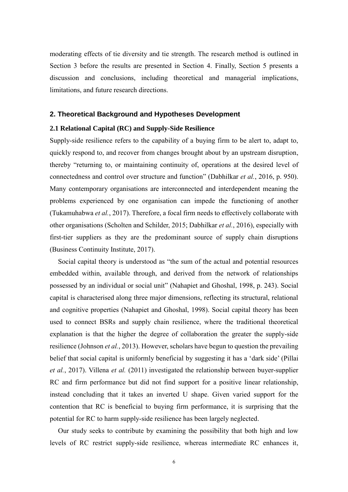moderating effects of tie diversity and tie strength. The research method is outlined in Section 3 before the results are presented in Section 4. Finally, Section 5 presents a discussion and conclusions, including theoretical and managerial implications, limitations, and future research directions.

# **2. Theoretical Background and Hypotheses Development**

### **2.1 Relational Capital (RC) and Supply-Side Resilience**

Supply-side resilience refers to the capability of a buying firm to be alert to, adapt to, quickly respond to, and recover from changes brought about by an upstream disruption, thereby "returning to, or maintaining continuity of, operations at the desired level of connectedness and control over structure and function" (Dabhilkar *et al.*, 2016, p. 950). Many contemporary organisations are interconnected and interdependent meaning the problems experienced by one organisation can impede the functioning of another (Tukamuhabwa *et al.*, 2017). Therefore, a focal firm needs to effectively collaborate with other organisations (Scholten and Schilder, 2015; Dabhilkar *et al.*, 2016), especially with first-tier suppliers as they are the predominant source of supply chain disruptions (Business Continuity Institute, 2017).

Social capital theory is understood as "the sum of the actual and potential resources embedded within, available through, and derived from the network of relationships possessed by an individual or social unit" (Nahapiet and Ghoshal, 1998, p. 243). Social capital is characterised along three major dimensions, reflecting its structural, relational and cognitive properties (Nahapiet and Ghoshal, 1998). Social capital theory has been used to connect BSRs and supply chain resilience, where the traditional theoretical explanation is that the higher the degree of collaboration the greater the supply-side resilience (Johnson *et al.*, 2013). However, scholars have begun to question the prevailing belief that social capital is uniformly beneficial by suggesting it has a 'dark side' (Pillai *et al.*, 2017). Villena *et al.* (2011) investigated the relationship between buyer-supplier RC and firm performance but did not find support for a positive linear relationship, instead concluding that it takes an inverted U shape. Given varied support for the contention that RC is beneficial to buying firm performance, it is surprising that the potential for RC to harm supply-side resilience has been largely neglected.

Our study seeks to contribute by examining the possibility that both high and low levels of RC restrict supply-side resilience, whereas intermediate RC enhances it,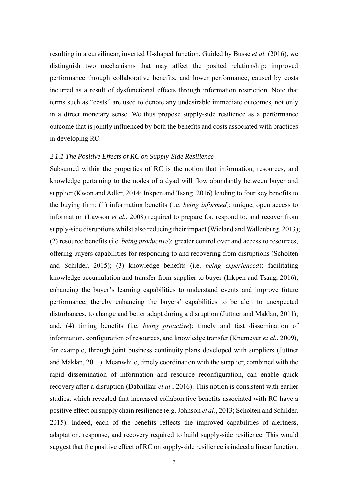resulting in a curvilinear, inverted U-shaped function. Guided by Busse *et al.* (2016), we distinguish two mechanisms that may affect the posited relationship: improved performance through collaborative benefits, and lower performance, caused by costs incurred as a result of dysfunctional effects through information restriction. Note that terms such as "costs" are used to denote any undesirable immediate outcomes, not only in a direct monetary sense. We thus propose supply-side resilience as a performance outcome that is jointly influenced by both the benefits and costs associated with practices in developing RC.

# *2.1.1 The Positive Effects of RC on Supply-Side Resilience*

Subsumed within the properties of RC is the notion that information, resources, and knowledge pertaining to the nodes of a dyad will flow abundantly between buyer and supplier (Kwon and Adler, 2014; Inkpen and Tsang, 2016) leading to four key benefits to the buying firm: (1) information benefits (i.e. *being informed*): unique, open access to information (Lawson *et al.*, 2008) required to prepare for, respond to, and recover from supply-side disruptions whilst also reducing their impact (Wieland and Wallenburg, 2013); (2) resource benefits (i.e. *being productive*): greater control over and access to resources, offering buyers capabilities for responding to and recovering from disruptions (Scholten and Schilder, 2015); (3) knowledge benefits (i.e. *being experienced*): facilitating knowledge accumulation and transfer from supplier to buyer (Inkpen and Tsang, 2016), enhancing the buyer's learning capabilities to understand events and improve future performance, thereby enhancing the buyers' capabilities to be alert to unexpected disturbances, to change and better adapt during a disruption (Juttner and Maklan, 2011); and, (4) timing benefits (i.e. *being proactive*): timely and fast dissemination of information, configuration of resources, and knowledge transfer (Knemeyer *et al.*, 2009), for example, through joint business continuity plans developed with suppliers (Juttner and Maklan, 2011). Meanwhile, timely coordination with the supplier, combined with the rapid dissemination of information and resource reconfiguration, can enable quick recovery after a disruption (Dabhilkar *et al.*, 2016). This notion is consistent with earlier studies, which revealed that increased collaborative benefits associated with RC have a positive effect on supply chain resilience (e.g. Johnson *et al.*, 2013; Scholten and Schilder, 2015). Indeed, each of the benefits reflects the improved capabilities of alertness, adaptation, response, and recovery required to build supply-side resilience. This would suggest that the positive effect of RC on supply-side resilience is indeed a linear function.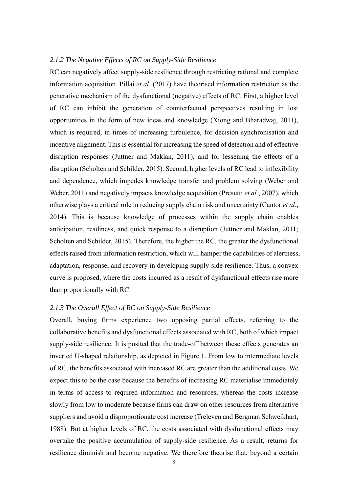#### *2.1.2 The Negative Effects of RC on Supply-Side Resilience*

RC can negatively affect supply-side resilience through restricting rational and complete information acquisition. Pillai *et al.* (2017) have theorised information restriction as the generative mechanism of the dysfunctional (negative) effects of RC. First, a higher level of RC can inhibit the generation of counterfactual perspectives resulting in lost opportunities in the form of new ideas and knowledge (Xiong and Bharadwaj, 2011), which is required, in times of increasing turbulence, for decision synchronisation and incentive alignment. This is essential for increasing the speed of detection and of effective disruption responses (Juttner and Maklan, 2011), and for lessening the effects of a disruption (Scholten and Schilder, 2015). Second, higher levels of RC lead to inflexibility and dependence, which impedes knowledge transfer and problem solving (Weber and Weber, 2011) and negatively impacts knowledge acquisition (Presutti *et al.*, 2007), which otherwise plays a critical role in reducing supply chain risk and uncertainty (Cantor *et al.*, 2014). This is because knowledge of processes within the supply chain enables anticipation, readiness, and quick response to a disruption (Juttner and Maklan, 2011; Scholten and Schilder, 2015). Therefore, the higher the RC, the greater the dysfunctional effects raised from information restriction, which will hamper the capabilities of alertness, adaptation, response, and recovery in developing supply-side resilience. Thus, a convex curve is proposed, where the costs incurred as a result of dysfunctional effects rise more than proportionally with RC.

### *2.1.3 The Overall Effect of RC on Supply-Side Resilience*

Overall, buying firms experience two opposing partial effects, referring to the collaborative benefits and dysfunctional effects associated with RC, both of which impact supply-side resilience. It is posited that the trade-off between these effects generates an inverted U-shaped relationship, as depicted in Figure 1. From low to intermediate levels of RC, the benefits associated with increased RC are greater than the additional costs. We expect this to be the case because the benefits of increasing RC materialise immediately in terms of access to required information and resources, whereas the costs increase slowly from low to moderate because firms can draw on other resources from alternative suppliers and avoid a disproportionate cost increase (Treleven and Bergman Schweikhart, 1988). But at higher levels of RC, the costs associated with dysfunctional effects may overtake the positive accumulation of supply-side resilience. As a result, returns for resilience diminish and become negative. We therefore theorise that, beyond a certain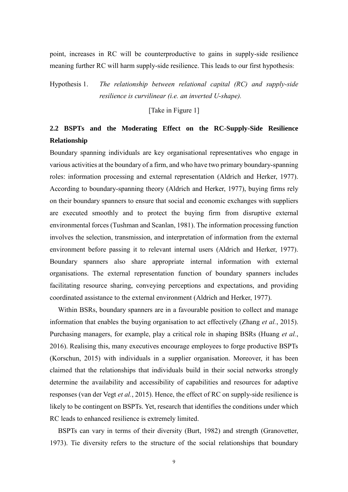point, increases in RC will be counterproductive to gains in supply-side resilience meaning further RC will harm supply-side resilience. This leads to our first hypothesis:

Hypothesis 1. *The relationship between relational capital (RC) and supply-side resilience is curvilinear (i.e. an inverted U-shape).*

[Take in Figure 1]

# **2.2 BSPTs and the Moderating Effect on the RC-Supply-Side Resilience Relationship**

Boundary spanning individuals are key organisational representatives who engage in various activities at the boundary of a firm, and who have two primary boundary-spanning roles: information processing and external representation (Aldrich and Herker, 1977). According to boundary-spanning theory (Aldrich and Herker, 1977), buying firms rely on their boundary spanners to ensure that social and economic exchanges with suppliers are executed smoothly and to protect the buying firm from disruptive external environmental forces (Tushman and Scanlan, 1981). The information processing function involves the selection, transmission, and interpretation of information from the external environment before passing it to relevant internal users (Aldrich and Herker, 1977). Boundary spanners also share appropriate internal information with external organisations. The external representation function of boundary spanners includes facilitating resource sharing, conveying perceptions and expectations, and providing coordinated assistance to the external environment (Aldrich and Herker, 1977).

Within BSRs, boundary spanners are in a favourable position to collect and manage information that enables the buying organisation to act effectively (Zhang *et al.*, 2015). Purchasing managers, for example, play a critical role in shaping BSRs (Huang *et al.*, 2016). Realising this, many executives encourage employees to forge productive BSPTs (Korschun, 2015) with individuals in a supplier organisation. Moreover, it has been claimed that the relationships that individuals build in their social networks strongly determine the availability and accessibility of capabilities and resources for adaptive responses (van der Vegt *et al.*, 2015). Hence, the effect of RC on supply-side resilience is likely to be contingent on BSPTs. Yet, research that identifies the conditions under which RC leads to enhanced resilience is extremely limited.

BSPTs can vary in terms of their diversity (Burt, 1982) and strength (Granovetter, 1973). Tie diversity refers to the structure of the social relationships that boundary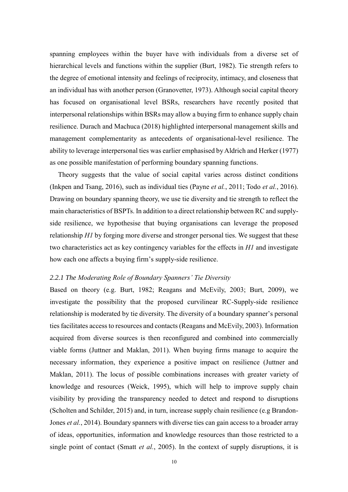spanning employees within the buyer have with individuals from a diverse set of hierarchical levels and functions within the supplier (Burt, 1982). Tie strength refers to the degree of emotional intensity and feelings of reciprocity, intimacy, and closeness that an individual has with another person (Granovetter, 1973). Although social capital theory has focused on organisational level BSRs, researchers have recently posited that interpersonal relationships within BSRs may allow a buying firm to enhance supply chain resilience. Durach and Machuca (2018) highlighted interpersonal management skills and management complementarity as antecedents of organisational-level resilience. The ability to leverage interpersonal ties was earlier emphasised by Aldrich and Herker (1977) as one possible manifestation of performing boundary spanning functions.

Theory suggests that the value of social capital varies across distinct conditions (Inkpen and Tsang, 2016), such as individual ties (Payne *et al.*, 2011; Todo *et al.*, 2016). Drawing on boundary spanning theory, we use tie diversity and tie strength to reflect the main characteristics of BSPTs. In addition to a direct relationship between RC and supplyside resilience, we hypothesise that buying organisations can leverage the proposed relationship *H1* by forging more diverse and stronger personal ties. We suggest that these two characteristics act as key contingency variables for the effects in *H1* and investigate how each one affects a buying firm's supply-side resilience.

#### *2.2.1 The Moderating Role of Boundary Spanners' Tie Diversity*

Based on theory (e.g. Burt, 1982; Reagans and McEvily, 2003; Burt, 2009), we investigate the possibility that the proposed curvilinear RC-Supply-side resilience relationship is moderated by tie diversity. The diversity of a boundary spanner's personal ties facilitates access to resources and contacts (Reagans and McEvily, 2003). Information acquired from diverse sources is then reconfigured and combined into commercially viable forms (Juttner and Maklan, 2011). When buying firms manage to acquire the necessary information, they experience a positive impact on resilience (Juttner and Maklan, 2011). The locus of possible combinations increases with greater variety of knowledge and resources (Weick, 1995), which will help to improve supply chain visibility by providing the transparency needed to detect and respond to disruptions (Scholten and Schilder, 2015) and, in turn, increase supply chain resilience (e.g Brandon‐ Jones *et al.*, 2014). Boundary spanners with diverse ties can gain access to a broader array of ideas, opportunities, information and knowledge resources than those restricted to a single point of contact (Smatt *et al.*, 2005). In the context of supply disruptions, it is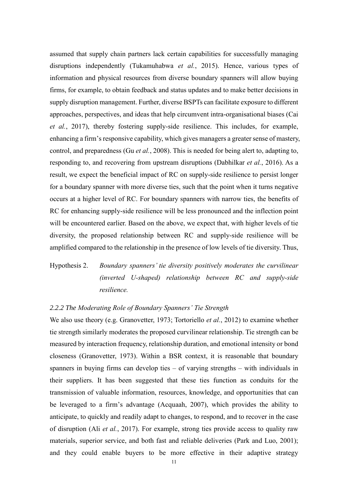assumed that supply chain partners lack certain capabilities for successfully managing disruptions independently (Tukamuhabwa *et al.*, 2015). Hence, various types of information and physical resources from diverse boundary spanners will allow buying firms, for example, to obtain feedback and status updates and to make better decisions in supply disruption management. Further, diverse BSPTs can facilitate exposure to different approaches, perspectives, and ideas that help circumvent intra-organisational biases (Cai *et al.*, 2017), thereby fostering supply-side resilience. This includes, for example, enhancing a firm's responsive capability, which gives managers a greater sense of mastery, control, and preparedness (Gu *et al.*, 2008). This is needed for being alert to, adapting to, responding to, and recovering from upstream disruptions (Dabhilkar *et al.*, 2016). As a result, we expect the beneficial impact of RC on supply-side resilience to persist longer for a boundary spanner with more diverse ties, such that the point when it turns negative occurs at a higher level of RC. For boundary spanners with narrow ties, the benefits of RC for enhancing supply-side resilience will be less pronounced and the inflection point will be encountered earlier. Based on the above, we expect that, with higher levels of tie diversity, the proposed relationship between RC and supply-side resilience will be amplified compared to the relationship in the presence of low levels of tie diversity. Thus,

Hypothesis 2. *Boundary spanners' tie diversity positively moderates the curvilinear (inverted U-shaped) relationship between RC and supply-side resilience.*

#### *2.2.2 The Moderating Role of Boundary Spanners' Tie Strength*

We also use theory (e.g. Granovetter, 1973; Tortoriello *et al.*, 2012) to examine whether tie strength similarly moderates the proposed curvilinear relationship. Tie strength can be measured by interaction frequency, relationship duration, and emotional intensity or bond closeness (Granovetter, 1973). Within a BSR context, it is reasonable that boundary spanners in buying firms can develop ties – of varying strengths – with individuals in their suppliers. It has been suggested that these ties function as conduits for the transmission of valuable information, resources, knowledge, and opportunities that can be leveraged to a firm's advantage (Acquaah, 2007), which provides the ability to anticipate, to quickly and readily adapt to changes, to respond, and to recover in the case of disruption (Ali *et al.*, 2017). For example, strong ties provide access to quality raw materials, superior service, and both fast and reliable deliveries (Park and Luo, 2001); and they could enable buyers to be more effective in their adaptive strategy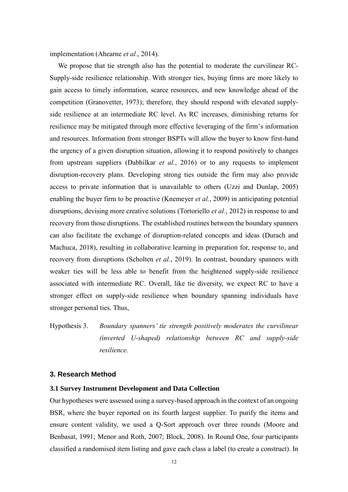implementation (Ahearne *et al.*, 2014).

We propose that tie strength also has the potential to moderate the curvilinear RC-Supply-side resilience relationship. With stronger ties, buying firms are more likely to gain access to timely information, scarce resources, and new knowledge ahead of the competition (Granovetter, 1973); therefore, they should respond with elevated supplyside resilience at an intermediate RC level. As RC increases, diminishing returns for resilience may be mitigated through more effective leveraging of the firm's information and resources. Information from stronger BSPTs will allow the buyer to know first-hand the urgency of a given disruption situation, allowing it to respond positively to changes from upstream suppliers (Dabhilkar *et al.*, 2016) or to any requests to implement disruption-recovery plans. Developing strong ties outside the firm may also provide access to private information that is unavailable to others (Uzzi and Dunlap, 2005) enabling the buyer firm to be proactive (Knemeyer *et al.*, 2009) in anticipating potential disruptions, devising more creative solutions (Tortoriello *et al.*, 2012) in response to and recovery from those disruptions. The established routines between the boundary spanners can also facilitate the exchange of disruption-related concepts and ideas (Durach and Machuca, 2018), resulting in collaborative learning in preparation for, response to, and recovery from disruptions (Scholten *et al.*, 2019). In contrast, boundary spanners with weaker ties will be less able to benefit from the heightened supply-side resilience associated with intermediate RC. Overall, like tie diversity, we expect RC to have a stronger effect on supply-side resilience when boundary spanning individuals have stronger personal ties. Thus,

Hypothesis 3. *Boundary spanners' tie strength positively moderates the curvilinear (inverted U-shaped) relationship between RC and supply-side resilience.*

# **3. Research Method**

#### **3.1 Survey Instrument Development and Data Collection**

Our hypotheses were assessed using a survey-based approach in the context of an ongoing BSR, where the buyer reported on its fourth largest supplier. To purify the items and ensure content validity, we used a Q-Sort approach over three rounds (Moore and Benbasat, 1991; Menor and Roth, 2007; Block, 2008). In Round One, four participants classified a randomised item listing and gave each class a label (to create a construct). In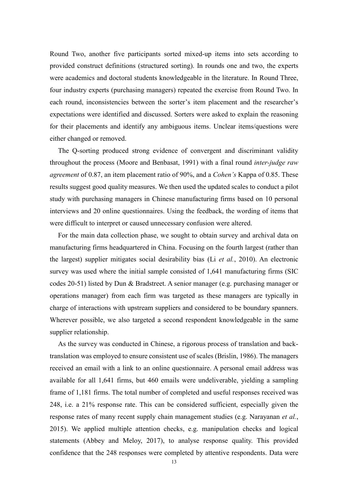Round Two, another five participants sorted mixed-up items into sets according to provided construct definitions (structured sorting). In rounds one and two, the experts were academics and doctoral students knowledgeable in the literature. In Round Three, four industry experts (purchasing managers) repeated the exercise from Round Two. In each round, inconsistencies between the sorter's item placement and the researcher's expectations were identified and discussed. Sorters were asked to explain the reasoning for their placements and identify any ambiguous items. Unclear items/questions were either changed or removed.

The Q-sorting produced strong evidence of convergent and discriminant validity throughout the process (Moore and Benbasat, 1991) with a final round *inter-judge raw agreement* of 0.87, an item placement ratio of 90%, and a *Cohen's* Kappa of 0.85. These results suggest good quality measures. We then used the updated scales to conduct a pilot study with purchasing managers in Chinese manufacturing firms based on 10 personal interviews and 20 online questionnaires. Using the feedback, the wording of items that were difficult to interpret or caused unnecessary confusion were altered.

For the main data collection phase, we sought to obtain survey and archival data on manufacturing firms headquartered in China. Focusing on the fourth largest (rather than the largest) supplier mitigates social desirability bias (Li *et al.*, 2010). An electronic survey was used where the initial sample consisted of 1,641 manufacturing firms (SIC codes 20-51) listed by Dun & Bradstreet. A senior manager (e.g. purchasing manager or operations manager) from each firm was targeted as these managers are typically in charge of interactions with upstream suppliers and considered to be boundary spanners. Wherever possible, we also targeted a second respondent knowledgeable in the same supplier relationship.

As the survey was conducted in Chinese, a rigorous process of translation and backtranslation was employed to ensure consistent use of scales (Brislin, 1986). The managers received an email with a link to an online questionnaire. A personal email address was available for all 1,641 firms, but 460 emails were undeliverable, yielding a sampling frame of 1,181 firms. The total number of completed and useful responses received was 248, i.e. a 21% response rate. This can be considered sufficient, especially given the response rates of many recent supply chain management studies (e.g. Narayanan *et al.*, 2015). We applied multiple attention checks, e.g. manipulation checks and logical statements (Abbey and Meloy, 2017), to analyse response quality. This provided confidence that the 248 responses were completed by attentive respondents. Data were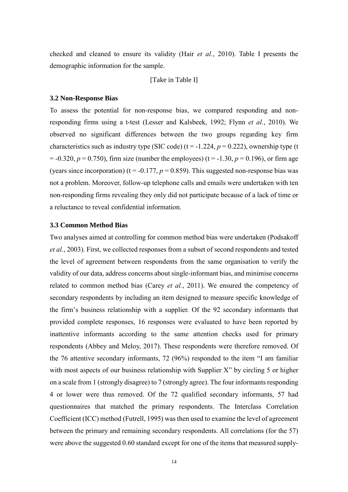checked and cleaned to ensure its validity (Hair *et al.*, 2010). Table I presents the demographic information for the sample.

[Take in Table I]

#### **3.2 Non-Response Bias**

To assess the potential for non-response bias, we compared responding and nonresponding firms using a t-test (Lesser and Kalsbeek, 1992; Flynn *et al.*, 2010). We observed no significant differences between the two groups regarding key firm characteristics such as industry type (SIC code)  $(t = -1.224, p = 0.222)$ , ownership type (t  $= -0.320, p = 0.750$ , firm size (number the employees) (t = -1.30, p = 0.196), or firm age (years since incorporation) ( $t = -0.177$ ,  $p = 0.859$ ). This suggested non-response bias was not a problem. Moreover, follow-up telephone calls and emails were undertaken with ten non-responding firms revealing they only did not participate because of a lack of time or a reluctance to reveal confidential information.

#### **3.3 Common Method Bias**

Two analyses aimed at controlling for common method bias were undertaken (Podsakoff *et al.*, 2003). First, we collected responses from a subset of second respondents and tested the level of agreement between respondents from the same organisation to verify the validity of our data, address concerns about single-informant bias, and minimise concerns related to common method bias (Carey *et al.*, 2011). We ensured the competency of secondary respondents by including an item designed to measure specific knowledge of the firm's business relationship with a supplier. Of the 92 secondary informants that provided complete responses, 16 responses were evaluated to have been reported by inattentive informants according to the same attention checks used for primary respondents (Abbey and Meloy, 2017). These respondents were therefore removed. Of the 76 attentive secondary informants, 72 (96%) responded to the item "I am familiar with most aspects of our business relationship with Supplier X" by circling 5 or higher on a scale from 1 (strongly disagree) to 7 (strongly agree). The four informants responding 4 or lower were thus removed. Of the 72 qualified secondary informants, 57 had questionnaires that matched the primary respondents. The Interclass Correlation Coefficient (ICC) method (Futrell, 1995) was then used to examine the level of agreement between the primary and remaining secondary respondents. All correlations (for the 57) were above the suggested 0.60 standard except for one of the items that measured supply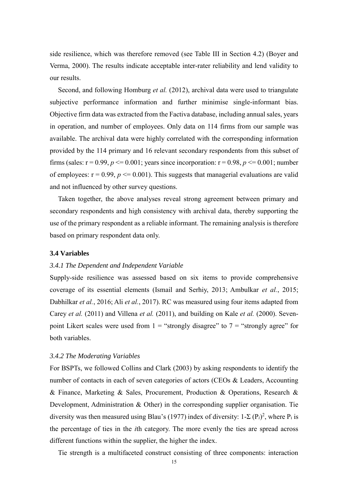side resilience, which was therefore removed (see Table III in Section 4.2) (Boyer and Verma, 2000). The results indicate acceptable inter-rater reliability and lend validity to our results.

Second, and following Homburg *et al.* (2012), archival data were used to triangulate subjective performance information and further minimise single-informant bias. Objective firm data was extracted from the Factiva database, including annual sales, years in operation, and number of employees. Only data on 114 firms from our sample was available. The archival data were highly correlated with the corresponding information provided by the 114 primary and 16 relevant secondary respondents from this subset of firms (sales:  $r = 0.99$ ,  $p \le 0.001$ ; years since incorporation:  $r = 0.98$ ,  $p \le 0.001$ ; number of employees:  $r = 0.99$ ,  $p \le 0.001$ ). This suggests that managerial evaluations are valid and not influenced by other survey questions.

Taken together, the above analyses reveal strong agreement between primary and secondary respondents and high consistency with archival data, thereby supporting the use of the primary respondent as a reliable informant. The remaining analysis is therefore based on primary respondent data only.

# **3.4 Variables**

#### *3.4.1 The Dependent and Independent Variable*

Supply-side resilience was assessed based on six items to provide comprehensive coverage of its essential elements (Ismail and Serhiy, 2013; Ambulkar *et al.*, 2015; Dabhilkar *et al.*, 2016; Ali *et al.*, 2017). RC was measured using four items adapted from Carey *et al.* (2011) and Villena *et al.* (2011), and building on Kale *et al.* (2000). Sevenpoint Likert scales were used from  $1 =$  "strongly disagree" to  $7 =$  "strongly agree" for both variables.

#### *3.4.2 The Moderating Variables*

For BSPTs, we followed Collins and Clark (2003) by asking respondents to identify the number of contacts in each of seven categories of actors (CEOs & Leaders, Accounting & Finance, Marketing & Sales, Procurement, Production & Operations, Research & Development, Administration & Other) in the corresponding supplier organisation. Tie diversity was then measured using Blau's (1977) index of diversity:  $1-\Sigma(P_i)^2$ , where  $P_i$  is the percentage of ties in the *i*th category. The more evenly the ties are spread across different functions within the supplier, the higher the index.

Tie strength is a multifaceted construct consisting of three components: interaction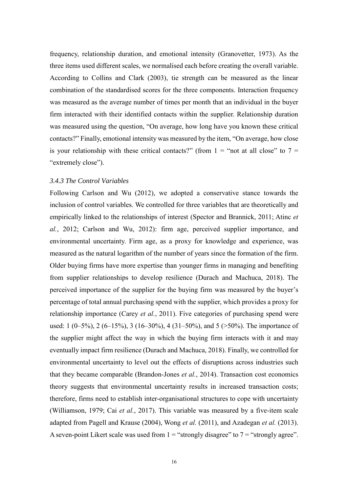frequency, relationship duration, and emotional intensity (Granovetter, 1973). As the three items used different scales, we normalised each before creating the overall variable. According to Collins and Clark (2003), tie strength can be measured as the linear combination of the standardised scores for the three components. Interaction frequency was measured as the average number of times per month that an individual in the buyer firm interacted with their identified contacts within the supplier. Relationship duration was measured using the question, "On average, how long have you known these critical contacts?" Finally, emotional intensity was measured by the item, "On average, how close is your relationship with these critical contacts?" (from  $1 =$  "not at all close" to  $7 =$ "extremely close").

#### *3.4.3 The Control Variables*

Following Carlson and Wu (2012), we adopted a conservative stance towards the inclusion of control variables. We controlled for three variables that are theoretically and empirically linked to the relationships of interest (Spector and Brannick, 2011; Atinc *et al.*, 2012; Carlson and Wu, 2012): firm age, perceived supplier importance, and environmental uncertainty. Firm age, as a proxy for knowledge and experience, was measured as the natural logarithm of the number of years since the formation of the firm. Older buying firms have more expertise than younger firms in managing and benefiting from supplier relationships to develop resilience (Durach and Machuca, 2018). The perceived importance of the supplier for the buying firm was measured by the buyer's percentage of total annual purchasing spend with the supplier, which provides a proxy for relationship importance (Carey *et al.*, 2011). Five categories of purchasing spend were used: 1 (0–5%), 2 (6–15%), 3 (16–30%), 4 (31–50%), and 5 (>50%). The importance of the supplier might affect the way in which the buying firm interacts with it and may eventually impact firm resilience (Durach and Machuca, 2018). Finally, we controlled for environmental uncertainty to level out the effects of disruptions across industries such that they became comparable (Brandon-Jones *et al.*, 2014). Transaction cost economics theory suggests that environmental uncertainty results in increased transaction costs; therefore, firms need to establish inter-organisational structures to cope with uncertainty (Williamson, 1979; Cai *et al.*, 2017). This variable was measured by a five-item scale adapted from Pagell and Krause (2004), Wong *et al.* (2011), and Azadegan *et al.* (2013). A seven-point Likert scale was used from  $1 =$  "strongly disagree" to  $7 =$  "strongly agree".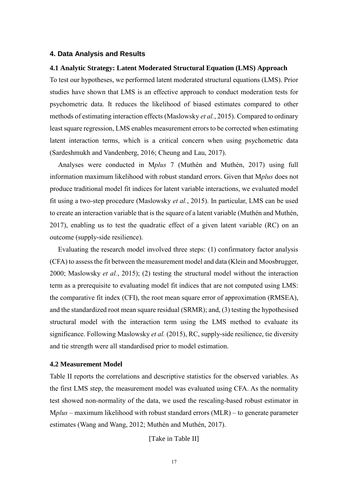# **4. Data Analysis and Results**

## **4.1 Analytic Strategy: Latent Moderated Structural Equation (LMS) Approach**

To test our hypotheses, we performed latent moderated structural equations (LMS). Prior studies have shown that LMS is an effective approach to conduct moderation tests for psychometric data. It reduces the likelihood of biased estimates compared to other methods of estimating interaction effects (Maslowsky *et al.*, 2015). Compared to ordinary least square regression, LMS enables measurement errors to be corrected when estimating latent interaction terms, which is a critical concern when using psychometric data (Sardeshmukh and Vandenberg, 2016; Cheung and Lau, 2017).

Analyses were conducted in M*plus* 7 (Muthén and Muthén, 2017) using full information maximum likelihood with robust standard errors. Given that M*plus* does not produce traditional model fit indices for latent variable interactions, we evaluated model fit using a two-step procedure (Maslowsky *et al.*, 2015). In particular, LMS can be used to create an interaction variable that is the square of a latent variable (Muthén and Muthén, 2017), enabling us to test the quadratic effect of a given latent variable (RC) on an outcome (supply-side resilience).

Evaluating the research model involved three steps: (1) confirmatory factor analysis (CFA) to assess the fit between the measurement model and data (Klein and Moosbrugger, 2000; Maslowsky *et al.*, 2015); (2) testing the structural model without the interaction term as a prerequisite to evaluating model fit indices that are not computed using LMS: the comparative fit index (CFI), the root mean square error of approximation (RMSEA), and the standardized root mean square residual (SRMR); and, (3) testing the hypothesised structural model with the interaction term using the LMS method to evaluate its significance. Following Maslowsky *et al.* (2015), RC, supply-side resilience, tie diversity and tie strength were all standardised prior to model estimation.

#### **4.2 Measurement Model**

Table II reports the correlations and descriptive statistics for the observed variables. As the first LMS step, the measurement model was evaluated using CFA. As the normality test showed non-normality of the data, we used the rescaling-based robust estimator in M*plus* – maximum likelihood with robust standard errors (MLR) – to generate parameter estimates (Wang and Wang, 2012; Muthén and Muthén, 2017).

[Take in Table II]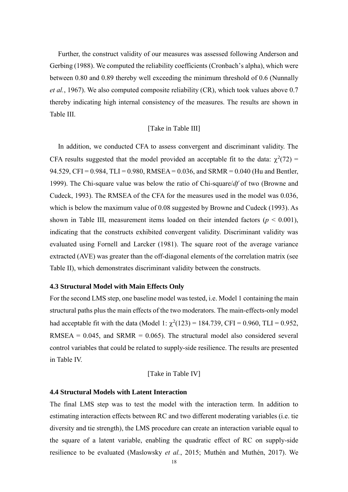Further, the construct validity of our measures was assessed following Anderson and Gerbing (1988). We computed the reliability coefficients (Cronbach's alpha), which were between 0.80 and 0.89 thereby well exceeding the minimum threshold of 0.6 (Nunnally *et al.*, 1967). We also computed composite reliability (CR), which took values above 0.7 thereby indicating high internal consistency of the measures. The results are shown in Table III.

#### [Take in Table III]

In addition, we conducted CFA to assess convergent and discriminant validity. The CFA results suggested that the model provided an acceptable fit to the data:  $\chi^2(72)$  = 94.529, CFI = 0.984, TLI = 0.980, RMSEA = 0.036, and SRMR = 0.040 (Hu and Bentler, 1999). The Chi-square value was below the ratio of Chi-square/*df* of two (Browne and Cudeck, 1993). The RMSEA of the CFA for the measures used in the model was 0.036, which is below the maximum value of 0.08 suggested by Browne and Cudeck (1993). As shown in Table III, measurement items loaded on their intended factors ( $p < 0.001$ ), indicating that the constructs exhibited convergent validity. Discriminant validity was evaluated using Fornell and Larcker (1981). The square root of the average variance extracted (AVE) was greater than the off-diagonal elements of the correlation matrix (see Table II), which demonstrates discriminant validity between the constructs.

#### **4.3 Structural Model with Main Effects Only**

For the second LMS step, one baseline model was tested, i.e. Model 1 containing the main structural paths plus the main effects of the two moderators. The main-effects-only model had acceptable fit with the data (Model 1:  $\chi^2(123) = 184.739$ , CFI = 0.960, TLI = 0.952, RMSEA =  $0.045$ , and SRMR =  $0.065$ ). The structural model also considered several control variables that could be related to supply-side resilience. The results are presented in Table IV.

#### [Take in Table IV]

#### **4.4 Structural Models with Latent Interaction**

The final LMS step was to test the model with the interaction term. In addition to estimating interaction effects between RC and two different moderating variables (i.e. tie diversity and tie strength), the LMS procedure can create an interaction variable equal to the square of a latent variable, enabling the quadratic effect of RC on supply-side resilience to be evaluated (Maslowsky *et al.*, 2015; Muthén and Muthén, 2017). We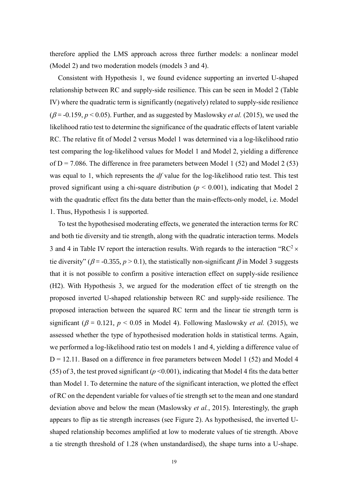therefore applied the LMS approach across three further models: a nonlinear model (Model 2) and two moderation models (models 3 and 4).

Consistent with Hypothesis 1, we found evidence supporting an inverted U-shaped relationship between RC and supply-side resilience. This can be seen in Model 2 (Table IV) where the quadratic term is significantly (negatively) related to supply-side resilience ( $\beta$  = -0.159,  $p$  < 0.05). Further, and as suggested by Maslowsky *et al.* (2015), we used the likelihood ratio test to determine the significance of the quadratic effects of latent variable RC. The relative fit of Model 2 versus Model 1 was determined via a log-likelihood ratio test comparing the log-likelihood values for Model 1 and Model 2, yielding a difference of  $D = 7.086$ . The difference in free parameters between Model 1 (52) and Model 2 (53) was equal to 1, which represents the *df* value for the log-likelihood ratio test. This test proved significant using a chi-square distribution ( $p < 0.001$ ), indicating that Model 2 with the quadratic effect fits the data better than the main-effects-only model, i.e. Model 1. Thus, Hypothesis 1 is supported.

To test the hypothesised moderating effects, we generated the interaction terms for RC and both tie diversity and tie strength, along with the quadratic interaction terms. Models 3 and 4 in Table IV report the interaction results. With regards to the interaction "RC<sup>2</sup>  $\times$ tie diversity" ( $\beta$  = -0.355,  $p > 0.1$ ), the statistically non-significant  $\beta$  in Model 3 suggests that it is not possible to confirm a positive interaction effect on supply-side resilience (H2). With Hypothesis 3, we argued for the moderation effect of tie strength on the proposed inverted U-shaped relationship between RC and supply-side resilience. The proposed interaction between the squared RC term and the linear tie strength term is significant ( $\beta$  = 0.121,  $p$  < 0.05 in Model 4). Following Maslowsky *et al.* (2015), we assessed whether the type of hypothesised moderation holds in statistical terms. Again, we performed a log-likelihood ratio test on models 1 and 4, yielding a difference value of  $D = 12.11$ . Based on a difference in free parameters between Model 1 (52) and Model 4 (55) of 3, the test proved significant ( $p \le 0.001$ ), indicating that Model 4 fits the data better than Model 1. To determine the nature of the significant interaction, we plotted the effect of RC on the dependent variable for values of tie strength set to the mean and one standard deviation above and below the mean (Maslowsky *et al.*, 2015). Interestingly, the graph appears to flip as tie strength increases (see Figure 2). As hypothesised, the inverted Ushaped relationship becomes amplified at low to moderate values of tie strength. Above a tie strength threshold of 1.28 (when unstandardised), the shape turns into a U-shape.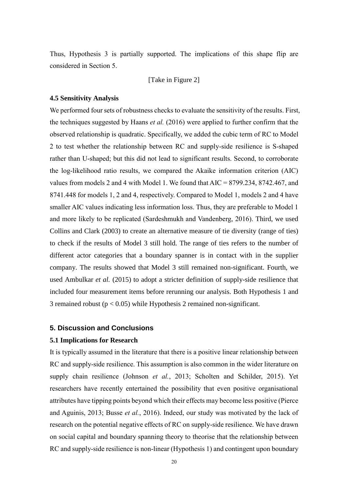Thus, Hypothesis 3 is partially supported. The implications of this shape flip are considered in Section 5.

[Take in Figure 2]

#### **4.5 Sensitivity Analysis**

We performed four sets of robustness checks to evaluate the sensitivity of the results. First, the techniques suggested by Haans *et al.* (2016) were applied to further confirm that the observed relationship is quadratic. Specifically, we added the cubic term of RC to Model 2 to test whether the relationship between RC and supply-side resilience is S-shaped rather than U-shaped; but this did not lead to significant results. Second, to corroborate the log-likelihood ratio results, we compared the Akaike information criterion (AIC) values from models 2 and 4 with Model 1. We found that AIC = 8799.234, 8742.467, and 8741.448 for models 1, 2 and 4, respectively. Compared to Model 1, models 2 and 4 have smaller AIC values indicating less information loss. Thus, they are preferable to Model 1 and more likely to be replicated (Sardeshmukh and Vandenberg, 2016). Third, we used Collins and Clark (2003) to create an alternative measure of tie diversity (range of ties) to check if the results of Model 3 still hold. The range of ties refers to the number of different actor categories that a boundary spanner is in contact with in the supplier company. The results showed that Model 3 still remained non-significant. Fourth, we used Ambulkar *et al.* (2015) to adopt a stricter definition of supply-side resilience that included four measurement items before rerunning our analysis. Both Hypothesis 1 and 3 remained robust ( $p < 0.05$ ) while Hypothesis 2 remained non-significant.

#### **5. Discussion and Conclusions**

#### **5.1 Implications for Research**

It is typically assumed in the literature that there is a positive linear relationship between RC and supply-side resilience. This assumption is also common in the wider literature on supply chain resilience (Johnson *et al.*, 2013; Scholten and Schilder, 2015). Yet researchers have recently entertained the possibility that even positive organisational attributes have tipping points beyond which their effects may become less positive (Pierce and Aguinis, 2013; Busse *et al.*, 2016). Indeed, our study was motivated by the lack of research on the potential negative effects of RC on supply-side resilience. We have drawn on social capital and boundary spanning theory to theorise that the relationship between RC and supply-side resilience is non-linear (Hypothesis 1) and contingent upon boundary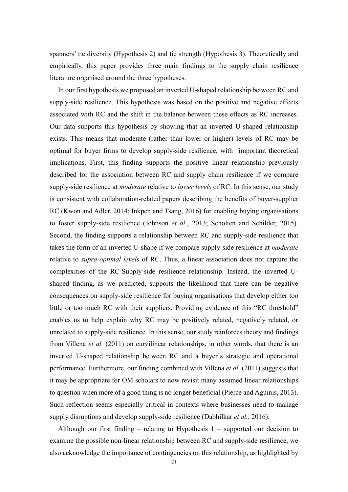spanners' tie diversity (Hypothesis 2) and tie strength (Hypothesis 3). Theoretically and empirically, this paper provides three main findings to the supply chain resilience literature organised around the three hypotheses.

In our first hypothesis we proposed an inverted U-shaped relationship between RC and supply-side resilience. This hypothesis was based on the positive and negative effects associated with RC and the shift in the balance between these effects as RC increases. Our data supports this hypothesis by showing that an inverted U-shaped relationship exists. This means that moderate (rather than lower or higher) levels of RC may be optimal for buyer firms to develop supply-side resilience, with important theoretical implications. First, this finding supports the positive linear relationship previously described for the association between RC and supply chain resilience if we compare supply-side resilience at *moderate* relative to *lower levels* of RC. In this sense, our study is consistent with collaboration-related papers describing the benefits of buyer-supplier RC (Kwon and Adler, 2014; Inkpen and Tsang, 2016) for enabling buying organisations to foster supply-side resilience (Johnson *et al.*, 2013; Scholten and Schilder, 2015). Second, the finding supports a relationship between RC and supply-side resilience that takes the form of an inverted U shape if we compare supply-side resilience at *moderate* relative to *supra-optimal levels* of RC. Thus, a linear association does not capture the complexities of the RC-Supply-side resilience relationship. Instead, the inverted Ushaped finding, as we predicted, supports the likelihood that there can be negative consequences on supply-side resilience for buying organisations that develop either too little or too much RC with their suppliers. Providing evidence of this "RC threshold" enables us to help explain why RC may be positively related, negatively related, or unrelated to supply-side resilience. In this sense, our study reinforces theory and findings from Villena *et al.* (2011) on curvilinear relationships, in other words, that there is an inverted U-shaped relationship between RC and a buyer's strategic and operational performance. Furthermore, our finding combined with Villena *et al.* (2011) suggests that it may be appropriate for OM scholars to now revisit many assumed linear relationships to question when more of a good thing is no longer beneficial (Pierce and Aguinis, 2013). Such reflection seems especially critical in contexts where businesses need to manage supply disruptions and develop supply-side resilience (Dabhilkar *et al.*, 2016).

Although our first finding – relating to Hypothesis  $1$  – supported our decision to examine the possible non-linear relationship between RC and supply-side resilience, we also acknowledge the importance of contingencies on this relationship, as highlighted by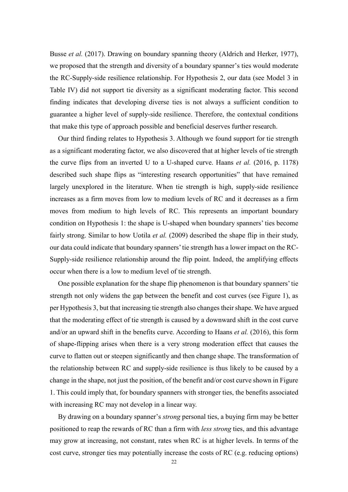Busse *et al.* (2017). Drawing on boundary spanning theory (Aldrich and Herker, 1977), we proposed that the strength and diversity of a boundary spanner's ties would moderate the RC-Supply-side resilience relationship. For Hypothesis 2, our data (see Model 3 in Table IV) did not support tie diversity as a significant moderating factor. This second finding indicates that developing diverse ties is not always a sufficient condition to guarantee a higher level of supply-side resilience. Therefore, the contextual conditions that make this type of approach possible and beneficial deserves further research.

Our third finding relates to Hypothesis 3. Although we found support for tie strength as a significant moderating factor, we also discovered that at higher levels of tie strength the curve flips from an inverted U to a U-shaped curve. Haans *et al.* (2016, p. 1178) described such shape flips as "interesting research opportunities" that have remained largely unexplored in the literature. When tie strength is high, supply-side resilience increases as a firm moves from low to medium levels of RC and it decreases as a firm moves from medium to high levels of RC. This represents an important boundary condition on Hypothesis 1: the shape is U-shaped when boundary spanners' ties become fairly strong. Similar to how Uotila *et al.* (2009) described the shape flip in their study, our data could indicate that boundary spanners' tie strength has a lower impact on the RC-Supply-side resilience relationship around the flip point. Indeed, the amplifying effects occur when there is a low to medium level of tie strength.

One possible explanation for the shape flip phenomenon is that boundary spanners' tie strength not only widens the gap between the benefit and cost curves (see Figure 1), as per Hypothesis 3, but that increasing tie strength also changes their shape. We have argued that the moderating effect of tie strength is caused by a downward shift in the cost curve and/or an upward shift in the benefits curve. According to Haans *et al.* (2016), this form of shape-flipping arises when there is a very strong moderation effect that causes the curve to flatten out or steepen significantly and then change shape. The transformation of the relationship between RC and supply-side resilience is thus likely to be caused by a change in the shape, not just the position, of the benefit and/or cost curve shown in Figure 1. This could imply that, for boundary spanners with stronger ties, the benefits associated with increasing RC may not develop in a linear way.

By drawing on a boundary spanner's *strong* personal ties, a buying firm may be better positioned to reap the rewards of RC than a firm with *less strong* ties, and this advantage may grow at increasing, not constant, rates when RC is at higher levels. In terms of the cost curve, stronger ties may potentially increase the costs of RC (e.g. reducing options)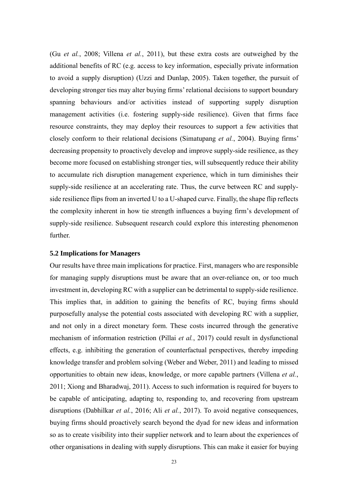(Gu *et al.*, 2008; Villena *et al.*, 2011), but these extra costs are outweighed by the additional benefits of RC (e.g. access to key information, especially private information to avoid a supply disruption) (Uzzi and Dunlap, 2005). Taken together, the pursuit of developing stronger ties may alter buying firms' relational decisions to support boundary spanning behaviours and/or activities instead of supporting supply disruption management activities (i.e. fostering supply-side resilience). Given that firms face resource constraints, they may deploy their resources to support a few activities that closely conform to their relational decisions (Simatupang *et al.*, 2004). Buying firms' decreasing propensity to proactively develop and improve supply-side resilience, as they become more focused on establishing stronger ties, will subsequently reduce their ability to accumulate rich disruption management experience, which in turn diminishes their supply-side resilience at an accelerating rate. Thus, the curve between RC and supplyside resilience flips from an inverted U to a U-shaped curve. Finally, the shape flip reflects the complexity inherent in how tie strength influences a buying firm's development of supply-side resilience. Subsequent research could explore this interesting phenomenon further.

### **5.2 Implications for Managers**

Our results have three main implications for practice. First, managers who are responsible for managing supply disruptions must be aware that an over-reliance on, or too much investment in, developing RC with a supplier can be detrimental to supply-side resilience. This implies that, in addition to gaining the benefits of RC, buying firms should purposefully analyse the potential costs associated with developing RC with a supplier, and not only in a direct monetary form. These costs incurred through the generative mechanism of information restriction (Pillai *et al.*, 2017) could result in dysfunctional effects, e.g. inhibiting the generation of counterfactual perspectives, thereby impeding knowledge transfer and problem solving (Weber and Weber, 2011) and leading to missed opportunities to obtain new ideas, knowledge, or more capable partners (Villena *et al.*, 2011; Xiong and Bharadwaj, 2011). Access to such information is required for buyers to be capable of anticipating, adapting to, responding to, and recovering from upstream disruptions (Dabhilkar *et al.*, 2016; Ali *et al.*, 2017). To avoid negative consequences, buying firms should proactively search beyond the dyad for new ideas and information so as to create visibility into their supplier network and to learn about the experiences of other organisations in dealing with supply disruptions. This can make it easier for buying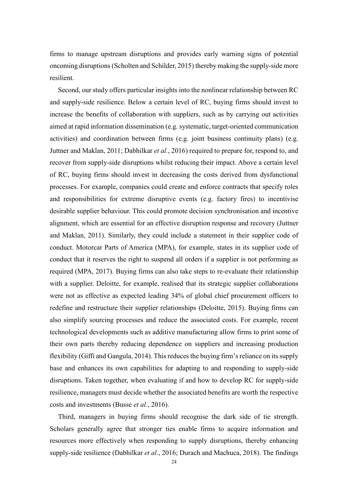firms to manage upstream disruptions and provides early warning signs of potential oncoming disruptions (Scholten and Schilder, 2015) thereby making the supply-side more resilient.

Second, our study offers particular insights into the nonlinear relationship between RC and supply-side resilience. Below a certain level of RC, buying firms should invest to increase the benefits of collaboration with suppliers, such as by carrying out activities aimed at rapid information dissemination (e.g. systematic, target-oriented communication activities) and coordination between firms (e.g. joint business continuity plans) (e.g. Juttner and Maklan, 2011; Dabhilkar *et al.*, 2016) required to prepare for, respond to, and recover from supply-side disruptions whilst reducing their impact. Above a certain level of RC, buying firms should invest in decreasing the costs derived from dysfunctional processes. For example, companies could create and enforce contracts that specify roles and responsibilities for extreme disruptive events (e.g. factory fires) to incentivise desirable supplier behaviour. This could promote decision synchronisation and incentive alignment, which are essential for an effective disruption response and recovery (Juttner and Maklan, 2011). Similarly, they could include a statement in their supplier code of conduct. Motorcar Parts of America (MPA), for example, states in its supplier code of conduct that it reserves the right to suspend all orders if a supplier is not performing as required (MPA, 2017). Buying firms can also take steps to re-evaluate their relationship with a supplier. Deloitte, for example, realised that its strategic supplier collaborations were not as effective as expected leading 34% of global chief procurement officers to redefine and restructure their supplier relationships (Deloitte, 2015). Buying firms can also simplify sourcing processes and reduce the associated costs. For example, recent technological developments such as additive manufacturing allow firms to print some of their own parts thereby reducing dependence on suppliers and increasing production flexibility (Giffi and Gangula, 2014). This reduces the buying firm's reliance on its supply base and enhances its own capabilities for adapting to and responding to supply-side disruptions. Taken together, when evaluating if and how to develop RC for supply-side resilience, managers must decide whether the associated benefits are worth the respective costs and investments (Busse *et al.*, 2016).

Third, managers in buying firms should recognise the dark side of tie strength. Scholars generally agree that stronger ties enable firms to acquire information and resources more effectively when responding to supply disruptions, thereby enhancing supply-side resilience (Dabhilkar *et al.*, 2016; Durach and Machuca, 2018). The findings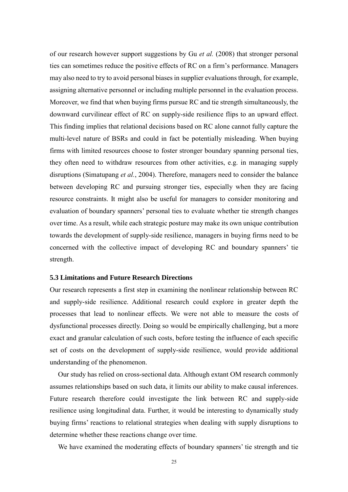of our research however support suggestions by Gu *et al.* (2008) that stronger personal ties can sometimes reduce the positive effects of RC on a firm's performance. Managers may also need to try to avoid personal biases in supplier evaluations through, for example, assigning alternative personnel or including multiple personnel in the evaluation process. Moreover, we find that when buying firms pursue RC and tie strength simultaneously, the downward curvilinear effect of RC on supply-side resilience flips to an upward effect. This finding implies that relational decisions based on RC alone cannot fully capture the multi-level nature of BSRs and could in fact be potentially misleading. When buying firms with limited resources choose to foster stronger boundary spanning personal ties, they often need to withdraw resources from other activities, e.g. in managing supply disruptions (Simatupang *et al.*, 2004). Therefore, managers need to consider the balance between developing RC and pursuing stronger ties, especially when they are facing resource constraints. It might also be useful for managers to consider monitoring and evaluation of boundary spanners' personal ties to evaluate whether tie strength changes over time. As a result, while each strategic posture may make its own unique contribution towards the development of supply-side resilience, managers in buying firms need to be concerned with the collective impact of developing RC and boundary spanners' tie strength.

### **5.3 Limitations and Future Research Directions**

Our research represents a first step in examining the nonlinear relationship between RC and supply-side resilience. Additional research could explore in greater depth the processes that lead to nonlinear effects. We were not able to measure the costs of dysfunctional processes directly. Doing so would be empirically challenging, but a more exact and granular calculation of such costs, before testing the influence of each specific set of costs on the development of supply-side resilience, would provide additional understanding of the phenomenon.

Our study has relied on cross-sectional data. Although extant OM research commonly assumes relationships based on such data, it limits our ability to make causal inferences. Future research therefore could investigate the link between RC and supply-side resilience using longitudinal data. Further, it would be interesting to dynamically study buying firms' reactions to relational strategies when dealing with supply disruptions to determine whether these reactions change over time.

We have examined the moderating effects of boundary spanners' tie strength and tie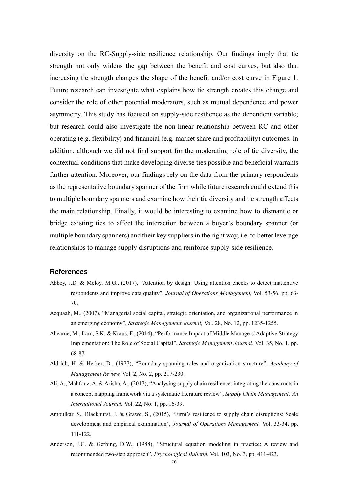diversity on the RC-Supply-side resilience relationship. Our findings imply that tie strength not only widens the gap between the benefit and cost curves, but also that increasing tie strength changes the shape of the benefit and/or cost curve in Figure 1. Future research can investigate what explains how tie strength creates this change and consider the role of other potential moderators, such as mutual dependence and power asymmetry. This study has focused on supply-side resilience as the dependent variable; but research could also investigate the non-linear relationship between RC and other operating (e.g. flexibility) and financial (e.g. market share and profitability) outcomes. In addition, although we did not find support for the moderating role of tie diversity, the contextual conditions that make developing diverse ties possible and beneficial warrants further attention. Moreover, our findings rely on the data from the primary respondents as the representative boundary spanner of the firm while future research could extend this to multiple boundary spanners and examine how their tie diversity and tie strength affects the main relationship. Finally, it would be interesting to examine how to dismantle or bridge existing ties to affect the interaction between a buyer's boundary spanner (or multiple boundary spanners) and their key suppliers in the right way, i.e. to better leverage relationships to manage supply disruptions and reinforce supply-side resilience.

# **References**

- Abbey, J.D. & Meloy, M.G., (2017), "Attention by design: Using attention checks to detect inattentive respondents and improve data quality", *Journal of Operations Management,* Vol. 53-56, pp. 63- 70.
- Acquaah, M., (2007), "Managerial social capital, strategic orientation, and organizational performance in an emerging economy", *Strategic Management Journal,* Vol. 28, No. 12, pp. 1235-1255.
- Ahearne, M., Lam, S.K. & Kraus, F., (2014), "Performance Impact of Middle Managers' Adaptive Strategy Implementation: The Role of Social Capital", *Strategic Management Journal,* Vol. 35, No. 1, pp. 68-87.
- Aldrich, H. & Herker, D., (1977), "Boundary spanning roles and organization structure", *Academy of Management Review,* Vol. 2, No. 2, pp. 217-230.
- Ali, A., Mahfouz, A. & Arisha, A., (2017), "Analysing supply chain resilience: integrating the constructs in a concept mapping framework via a systematic literature review", *Supply Chain Management: An International Journal,* Vol. 22, No. 1, pp. 16-39.
- Ambulkar, S., Blackhurst, J. & Grawe, S., (2015), "Firm's resilience to supply chain disruptions: Scale development and empirical examination", *Journal of Operations Management,* Vol. 33-34, pp. 111-122.
- Anderson, J.C. & Gerbing, D.W., (1988), "Structural equation modeling in practice: A review and recommended two-step approach", *Psychological Bulletin,* Vol. 103, No. 3, pp. 411-423.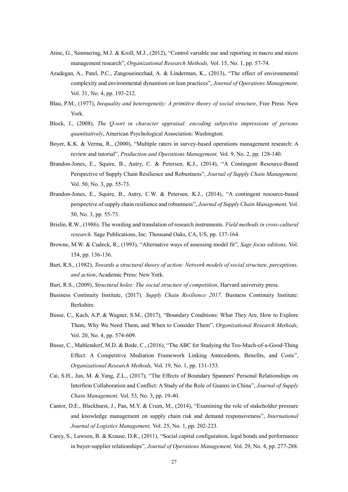- Atinc, G., Simmering, M.J. & Kroll, M.J., (2012), "Control variable use and reporting in macro and micro management research", *Organizational Research Methods,* Vol. 15, No. 1, pp. 57-74.
- Azadegan, A., Patel, P.C., Zangoueinezhad, A. & Linderman, K., (2013), "The effect of environmental complexity and environmental dynamism on lean practices", *Journal of Operations Management,*  Vol. 31, No. 4, pp. 193-212.
- Blau, P.M., (1977), *Inequality and heterogeneity: A primitive theory of social structure*, Free Press: New York.
- Block, J., (2008), *The Q-sort in character appraisal: encoding subjective impressions of persons quantitatively*, American Psychological Association: Washington.
- Boyer, K.K. & Verma, R., (2000), "Multiple raters in survey-based operations management research: A review and tutorial", *Production and Operations Management,* Vol. 9, No. 2, pp. 128-140.
- Brandon-Jones, E., Squire, B., Autry, C. & Petersen, K.J., (2014), "A Contingent Resource-Based Perspective of Supply Chain Resilience and Robustness", *Journal of Supply Chain Management,*  Vol. 50, No. 3, pp. 55-73.
- Brandon-Jones, E., Squire, B., Autry, C.W. & Petersen, K.J., (2014), "A contingent resource-based perspective of supply chain resilience and robustness", *Journal of Supply Chain Management,* Vol. 50, No. 3, pp. 55-73.
- Brislin, R.W., (1986). The wording and translation of research instruments. *Field methods in cross-cultural research.* Sage Publications, Inc: Thousand Oaks, CA, US, pp. 137-164.
- Browne, M.W. & Cudeck, R., (1993), "Alternative ways of assessing model fit", *Sage focus editions,* Vol. 154, pp. 136-136.
- Burt, R.S., (1982), *Towards a structural theory of action: Network models of social structure, perceptions, and action*, Academic Press: New York.
- Burt, R.S., (2009), *Structural holes: The social structure of competition*, Harvard university press.
- Business Continuity Institute, (2017). *Supply Chain Resilience 2017.* Business Continuity Institute: Berkshire.
- Busse, C., Kach, A.P. & Wagner, S.M., (2017), "Boundary Conditions: What They Are, How to Explore Them, Why We Need Them, and When to Consider Them", *Organizational Research Methods,*  Vol. 20, No. 4, pp. 574-609.
- Busse, C., Mahlendorf, M.D. & Bode, C., (2016), "The ABC for Studying the Too-Much-of-a-Good-Thing Effect: A Competitive Mediation Framework Linking Antecedents, Benefits, and Costs", *Organizational Research Methods,* Vol. 19, No. 1, pp. 131-153.
- Cai, S.H., Jun, M. & Yang, Z.L., (2017), "The Effects of Boundary Spanners' Personal Relationships on Interfirm Collaboration and Conflict: A Study of the Role of Guanxi in China", *Journal of Supply Chain Management,* Vol. 53, No. 3, pp. 19-40.
- Cantor, D.E., Blackhurst, J., Pan, M.Y. & Crum, M., (2014), "Examining the role of stakeholder pressure and knowledge management on supply chain risk and demand responsiveness", *International Journal of Logistics Management,* Vol. 25, No. 1, pp. 202-223.
- Carey, S., Lawson, B. & Krause, D.R., (2011), "Social capital configuration, legal bonds and performance in buyer-supplier relationships", *Journal of Operations Management,* Vol. 29, No. 4, pp. 277-288.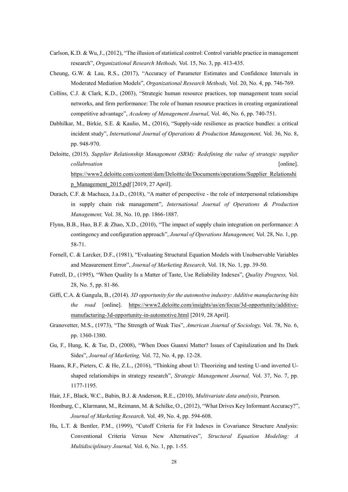- Carlson, K.D. & Wu, J., (2012), "The illusion of statistical control: Control variable practice in management research", *Organizational Research Methods,* Vol. 15, No. 3, pp. 413-435.
- Cheung, G.W. & Lau, R.S., (2017), "Accuracy of Parameter Estimates and Confidence Intervals in Moderated Mediation Models", *Organizational Research Methods,* Vol. 20, No. 4, pp. 746-769.
- Collins, C.J. & Clark, K.D., (2003), "Strategic human resource practices, top management team social networks, and firm performance: The role of human resource practices in creating organizational competitive advantage", *Academy of Management Journal,* Vol. 46, No. 6, pp. 740-751.
- Dabhilkar, M., Birkie, S.E. & Kaulio, M., (2016), "Supply-side resilience as practice bundles: a critical incident study", *International Journal of Operations & Production Management*, Vol. 36, No. 8, pp. 948-970.
- Deloitte, (2015). *Supplier Relationship Management (SRM): Redefining the value of strategic supplier collabroation* [online]. [https://www2.deloitte.com/content/dam/Deloitte/de/Documents/operations/Supplier\\_Relationshi](https://www2.deloitte.com/content/dam/Deloitte/de/Documents/operations/Supplier_Relationship_Management_2015.pdf) [p\\_Management\\_2015.pdf](https://www2.deloitte.com/content/dam/Deloitte/de/Documents/operations/Supplier_Relationship_Management_2015.pdf) [2019, 27 April].
- Durach, C.F. & Machuca, J.a.D., (2018), "A matter of perspective the role of interpersonal relationships in supply chain risk management", *International Journal of Operations & Production Management,* Vol. 38, No. 10, pp. 1866-1887.
- Flynn, B.B., Huo, B.F. & Zhao, X.D., (2010), "The impact of supply chain integration on performance: A contingency and configuration approach", *Journal of Operations Management,* Vol. 28, No. 1, pp. 58-71.
- Fornell, C. & Larcker, D.F., (1981), "Evaluating Structural Equation Models with Unobservable Variables and Measurement Error", *Journal of Marketing Research,* Vol. 18, No. 1, pp. 39-50.
- Futrell, D., (1995), "When Quality Is a Matter of Taste, Use Reliability Indexes", *Quality Progress,* Vol. 28, No. 5, pp. 81-86.
- Giffi, C.A. & Gangula, B., (2014). *3D opportunity for the automotive industry: Additive manufacturing hits the road* [online]. [https://www2.deloitte.com/insights/us/en/focus/3d-opportunity/additive](https://www2.deloitte.com/insights/us/en/focus/3d-opportunity/additive-manufacturing-3d-opportunity-in-automotive.html)[manufacturing-3d-opportunity-in-automotive.html](https://www2.deloitte.com/insights/us/en/focus/3d-opportunity/additive-manufacturing-3d-opportunity-in-automotive.html) [2019, 28 April].
- Granovetter, M.S., (1973), "The Strength of Weak Ties", *American Journal of Sociology,* Vol. 78, No. 6, pp. 1360-1380.
- Gu, F., Hung, K. & Tse, D., (2008), "When Does Guanxi Matter? Issues of Capitalization and Its Dark Sides", *Journal of Marketing,* Vol. 72, No. 4, pp. 12-28.
- Haans, R.F., Pieters, C. & He, Z.L., (2016), "Thinking about U: Theorizing and testing U-and inverted Ushaped relationships in strategy research", *Strategic Management Journal,* Vol. 37, No. 7, pp. 1177-1195.
- Hair, J.F., Black, W.C., Babin, B.J. & Anderson, R.E., (2010), *Multivariate data analysis*, Pearson.
- Homburg, C., Klarmann, M., Reimann, M. & Schilke, O., (2012), "What Drives Key Informant Accuracy?", *Journal of Marketing Research,* Vol. 49, No. 4, pp. 594-608.
- Hu, L.T. & Bentler, P.M., (1999), "Cutoff Criteria for Fit Indexes in Covariance Structure Analysis: Conventional Criteria Versus New Alternatives", *Structural Equation Modeling: A Multidisciplinary Journal,* Vol. 6, No. 1, pp. 1-55.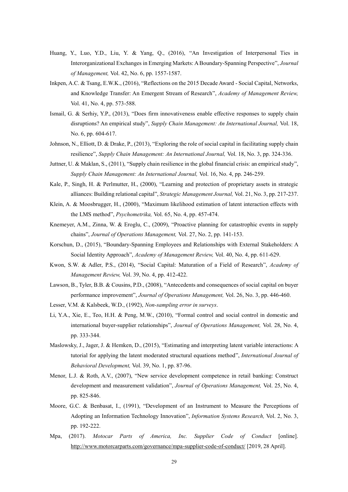- Huang, Y., Luo, Y.D., Liu, Y. & Yang, Q., (2016), "An Investigation of Interpersonal Ties in Interorganizational Exchanges in Emerging Markets: A Boundary-Spanning Perspective", *Journal of Management,* Vol. 42, No. 6, pp. 1557-1587.
- Inkpen, A.C. & Tsang, E.W.K., (2016), "Reflections on the 2015 Decade Award Social Capital, Networks, and Knowledge Transfer: An Emergent Stream of Research", *Academy of Management Review,*  Vol. 41, No. 4, pp. 573-588.
- Ismail, G. & Serhiy, Y.P., (2013), "Does firm innovativeness enable effective responses to supply chain disruptions? An empirical study", *Supply Chain Management: An International Journal,* Vol. 18, No. 6, pp. 604-617.
- Johnson, N., Elliott, D. & Drake, P., (2013), "Exploring the role of social capital in facilitating supply chain resilience", *Supply Chain Management: An International Journal,* Vol. 18, No. 3, pp. 324-336.
- Juttner, U. & Maklan, S., (2011), "Supply chain resilience in the global financial crisis: an empirical study", *Supply Chain Management: An International Journal,* Vol. 16, No. 4, pp. 246-259.
- Kale, P., Singh, H. & Perlmutter, H., (2000), "Learning and protection of proprietary assets in strategic alliances: Building relational capital", *Strategic Management Journal,* Vol. 21, No. 3, pp. 217-237.
- Klein, A. & Moosbrugger, H., (2000), "Maximum likelihood estimation of latent interaction effects with the LMS method", *Psychometrika,* Vol. 65, No. 4, pp. 457-474.
- Knemeyer, A.M., Zinna, W. & Eroglu, C., (2009), "Proactive planning for catastrophic events in supply chains", *Journal of Operations Management,* Vol. 27, No. 2, pp. 141-153.
- Korschun, D., (2015), "Boundary-Spanning Employees and Relationships with External Stakeholders: A Social Identity Approach", *Academy of Management Review,* Vol. 40, No. 4, pp. 611-629.
- Kwon, S.W. & Adler, P.S., (2014), "Social Capital: Maturation of a Field of Research", *Academy of Management Review,* Vol. 39, No. 4, pp. 412-422.
- Lawson, B., Tyler, B.B. & Cousins, P.D., (2008), "Antecedents and consequences of social capital on buyer performance improvement", *Journal of Operations Management,* Vol. 26, No. 3, pp. 446-460.
- Lesser, V.M. & Kalsbeek, W.D., (1992), *Non-sampling error in surveys*.
- Li, Y.A., Xie, E., Teo, H.H. & Peng, M.W., (2010), "Formal control and social control in domestic and international buyer-supplier relationships", *Journal of Operations Management,* Vol. 28, No. 4, pp. 333-344.
- Maslowsky, J., Jager, J. & Hemken, D., (2015), "Estimating and interpreting latent variable interactions: A tutorial for applying the latent moderated structural equations method", *International Journal of Behavioral Development,* Vol. 39, No. 1, pp. 87-96.
- Menor, L.J. & Roth, A.V., (2007), "New service development competence in retail banking: Construct development and measurement validation", *Journal of Operations Management,* Vol. 25, No. 4, pp. 825-846.
- Moore, G.C. & Benbasat, I., (1991), "Development of an Instrument to Measure the Perceptions of Adopting an Information Technology Innovation", *Information Systems Research,* Vol. 2, No. 3, pp. 192-222.
- Mpa, (2017). *Motocar Parts of America, Inc. Supplier Code of Conduct* [online]. <http://www.motorcarparts.com/governance/mpa-supplier-code-of-conduct/> [2019, 28 April].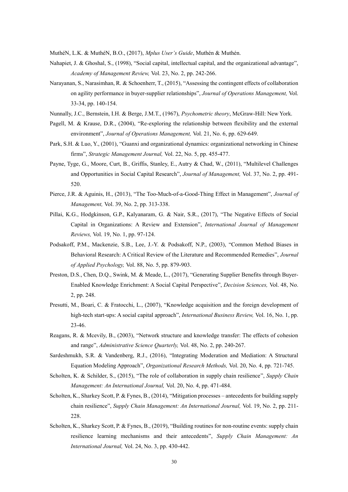MuthéN, L.K. & MuthéN, B.O., (2017), *Mplus User's Guide*, Muthén & Muthén.

- Nahapiet, J. & Ghoshal, S., (1998), "Social capital, intellectual capital, and the organizational advantage", *Academy of Management Review,* Vol. 23, No. 2, pp. 242-266.
- Narayanan, S., Narasimhan, R. & Schoenherr, T., (2015), "Assessing the contingent effects of collaboration on agility performance in buyer-supplier relationships", *Journal of Operations Management,* Vol. 33-34, pp. 140-154.
- Nunnally, J.C., Bernstein, I.H. & Berge, J.M.T., (1967), *Psychometric theory*, McGraw-Hill: New York.
- Pagell, M. & Krause, D.R., (2004), "Re-exploring the relationship between flexibility and the external environment", *Journal of Operations Management,* Vol. 21, No. 6, pp. 629-649.
- Park, S.H. & Luo, Y., (2001), "Guanxi and organizational dynamics: organizational networking in Chinese firms", *Strategic Management Journal,* Vol. 22, No. 5, pp. 455-477.
- Payne, Tyge, G., Moore, Curt, B., Griffis, Stanley, E., Autry & Chad, W., (2011), "Multilevel Challenges and Opportunities in Social Capital Research", *Journal of Management,* Vol. 37, No. 2, pp. 491- 520.
- Pierce, J.R. & Aguinis, H., (2013), "The Too-Much-of-a-Good-Thing Effect in Management", *Journal of Management,* Vol. 39, No. 2, pp. 313-338.
- Pillai, K.G., Hodgkinson, G.P., Kalyanaram, G. & Nair, S.R., (2017), "The Negative Effects of Social Capital in Organizations: A Review and Extension", *International Journal of Management Reviews,* Vol. 19, No. 1, pp. 97-124.
- Podsakoff, P.M., Mackenzie, S.B., Lee, J.-Y. & Podsakoff, N.P., (2003), "Common Method Biases in Behavioral Research: A Critical Review of the Literature and Recommended Remedies", *Journal of Applied Psychology,* Vol. 88, No. 5, pp. 879-903.
- Preston, D.S., Chen, D.Q., Swink, M. & Meade, L., (2017), "Generating Supplier Benefits through Buyer-Enabled Knowledge Enrichment: A Social Capital Perspective", *Decision Sciences,* Vol. 48, No. 2, pp. 248.
- Presutti, M., Boari, C. & Fratocchi, L., (2007), "Knowledge acquisition and the foreign development of high-tech start-ups: A social capital approach", *International Business Review,* Vol. 16, No. 1, pp. 23-46.
- Reagans, R. & Mcevily, B., (2003), "Network structure and knowledge transfer: The effects of cohesion and range", *Administrative Science Quarterly,* Vol. 48, No. 2, pp. 240-267.
- Sardeshmukh, S.R. & Vandenberg, R.J., (2016), "Integrating Moderation and Mediation: A Structural Equation Modeling Approach", *Organizational Research Methods,* Vol. 20, No. 4, pp. 721-745.
- Scholten, K. & Schilder, S., (2015), "The role of collaboration in supply chain resilience", *Supply Chain Management: An International Journal,* Vol. 20, No. 4, pp. 471-484.
- Scholten, K., Sharkey Scott, P. & Fynes, B., (2014), "Mitigation processes antecedents for building supply chain resilience", *Supply Chain Management: An International Journal,* Vol. 19, No. 2, pp. 211- 228.
- Scholten, K., Sharkey Scott, P. & Fynes, B., (2019), "Building routines for non-routine events: supply chain resilience learning mechanisms and their antecedents", *Supply Chain Management: An International Journal,* Vol. 24, No. 3, pp. 430-442.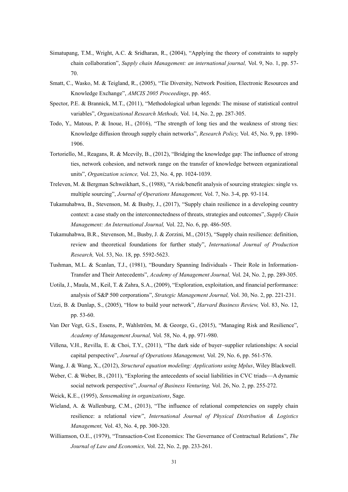- Simatupang, T.M., Wright, A.C. & Sridharan, R., (2004), "Applying the theory of constraints to supply chain collaboration", *Supply chain Management: an international journal,* Vol. 9, No. 1, pp. 57- 70.
- Smatt, C., Wasko, M. & Teigland, R., (2005), "Tie Diversity, Network Position, Electronic Resources and Knowledge Exchange", *AMCIS 2005 Proceedings*, pp. 465.
- Spector, P.E. & Brannick, M.T., (2011), "Methodological urban legends: The misuse of statistical control variables", *Organizational Research Methods,* Vol. 14, No. 2, pp. 287-305.
- Todo, Y., Matous, P. & Inoue, H., (2016), "The strength of long ties and the weakness of strong ties: Knowledge diffusion through supply chain networks", *Research Policy,* Vol. 45, No. 9, pp. 1890- 1906.
- Tortoriello, M., Reagans, R. & Mcevily, B., (2012), "Bridging the knowledge gap: The influence of strong ties, network cohesion, and network range on the transfer of knowledge between organizational units", *Organization science,* Vol. 23, No. 4, pp. 1024-1039.
- Treleven, M. & Bergman Schweikhart, S., (1988), "A risk/benefit analysis of sourcing strategies: single vs. multiple sourcing", *Journal of Operations Management,* Vol. 7, No. 3-4, pp. 93-114.
- Tukamuhabwa, B., Stevenson, M. & Busby, J., (2017), "Supply chain resilience in a developing country context: a case study on the interconnectedness of threats, strategies and outcomes", *Supply Chain Management: An International Journal,* Vol. 22, No. 6, pp. 486-505.
- Tukamuhabwa, B.R., Stevenson, M., Busby, J. & Zorzini, M., (2015), "Supply chain resilience: definition, review and theoretical foundations for further study", *International Journal of Production Research,* Vol. 53, No. 18, pp. 5592-5623.
- Tushman, M.L. & Scanlan, T.J., (1981), "Boundary Spanning Individuals Their Role in Information-Transfer and Their Antecedents", *Academy of Management Journal,* Vol. 24, No. 2, pp. 289-305.
- Uotila, J., Maula, M., Keil, T. & Zahra, S.A., (2009), "Exploration, exploitation, and financial performance: analysis of S&P 500 corporations", *Strategic Management Journal,* Vol. 30, No. 2, pp. 221-231.
- Uzzi, B. & Dunlap, S., (2005), "How to build your network", *Harvard Business Review,* Vol. 83, No. 12, pp. 53-60.
- Van Der Vegt, G.S., Essens, P., Wahlström, M. & George, G., (2015), "Managing Risk and Resilience", *Academy of Management Journal,* Vol. 58, No. 4, pp. 971-980.
- Villena, V.H., Revilla, E. & Choi, T.Y., (2011), "The dark side of buyer–supplier relationships: A social capital perspective", *Journal of Operations Management,* Vol. 29, No. 6, pp. 561-576.
- Wang, J. & Wang, X., (2012), *Structural equation modeling: Applications using Mplus*, Wiley Blackwell.
- Weber, C. & Weber, B., (2011), "Exploring the antecedents of social liabilities in CVC triads—A dynamic social network perspective", *Journal of Business Venturing,* Vol. 26, No. 2, pp. 255-272.
- Weick, K.E., (1995), *Sensemaking in organizations*, Sage.
- Wieland, A. & Wallenburg, C.M., (2013), "The influence of relational competencies on supply chain resilience: a relational view", *International Journal of Physical Distribution & Logistics Management,* Vol. 43, No. 4, pp. 300-320.
- Williamson, O.E., (1979), "Transaction-Cost Economics: The Governance of Contractual Relations", *The Journal of Law and Economics,* Vol. 22, No. 2, pp. 233-261.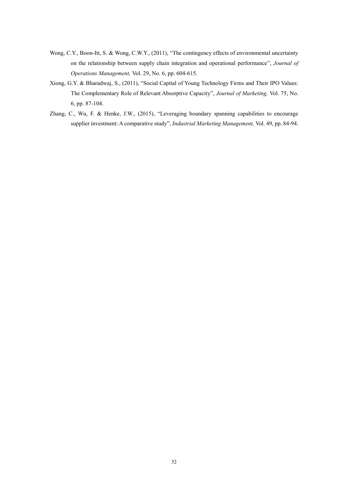- Wong, C.Y., Boon-Itt, S. & Wong, C.W.Y., (2011), "The contingency effects of environmental uncertainty on the relationship between supply chain integration and operational performance", *Journal of Operations Management,* Vol. 29, No. 6, pp. 604-615.
- Xiong, G.Y. & Bharadwaj, S., (2011), "Social Capital of Young Technology Firms and Their IPO Values: The Complementary Role of Relevant Absorptive Capacity", *Journal of Marketing,* Vol. 75, No. 6, pp. 87-104.
- Zhang, C., Wu, F. & Henke, J.W., (2015), "Leveraging boundary spanning capabilities to encourage supplier investment: A comparative study", *Industrial Marketing Management,* Vol. 49, pp. 84-94.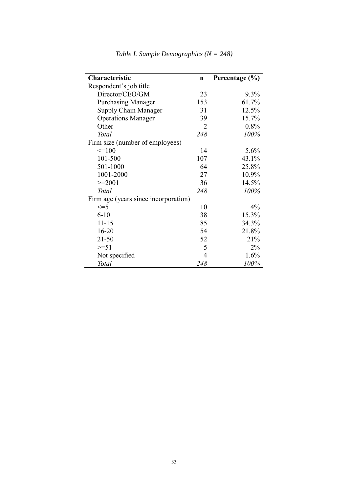| Characteristic                       | $\mathbf n$    | Percentage (%) |  |  |  |  |
|--------------------------------------|----------------|----------------|--|--|--|--|
| Respondent's job title               |                |                |  |  |  |  |
| Director/CEO/GM                      | 23             | $9.3\%$        |  |  |  |  |
| <b>Purchasing Manager</b>            | 153            | 61.7%          |  |  |  |  |
| Supply Chain Manager                 | 31             | 12.5%          |  |  |  |  |
| <b>Operations Manager</b>            | 39             | 15.7%          |  |  |  |  |
| Other                                | $\overline{2}$ | 0.8%           |  |  |  |  |
| <b>Total</b>                         | 248            | 100%           |  |  |  |  |
| Firm size (number of employees)      |                |                |  |  |  |  |
| $\leq$ =100                          | 14             | 5.6%           |  |  |  |  |
| 101-500                              | 107            | 43.1%          |  |  |  |  |
| 501-1000                             | 64             | 25.8%          |  |  |  |  |
| 1001-2000                            | 27             | 10.9%          |  |  |  |  |
| $>=2001$                             | 36             | 14.5%          |  |  |  |  |
| Total                                | 248            | 100%           |  |  |  |  |
| Firm age (years since incorporation) |                |                |  |  |  |  |
| $\leq$ =5                            | 10             | $4\%$          |  |  |  |  |
| $6 - 10$                             | 38             | 15.3%          |  |  |  |  |
| $11 - 15$                            | 85             | 34.3%          |  |  |  |  |
| $16 - 20$                            | 54             | 21.8%          |  |  |  |  |
| $21 - 50$                            | 52             | 21%            |  |  |  |  |
| $>=51$                               | 5              | $2\%$          |  |  |  |  |
| Not specified                        | 4              | 1.6%           |  |  |  |  |
| Total                                | 248            | 100%           |  |  |  |  |

*Table I. Sample Demographics (N = 248)*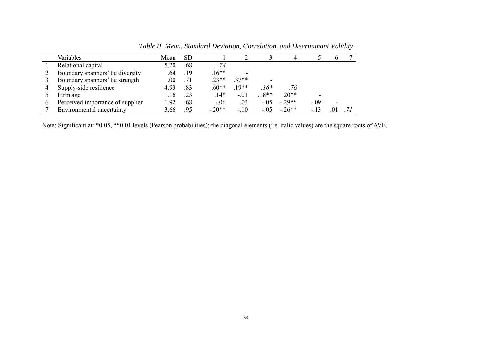|   | Variables                        | Mean | <b>SD</b> |         |         |         |          |        |                          |  |
|---|----------------------------------|------|-----------|---------|---------|---------|----------|--------|--------------------------|--|
|   | Relational capital               | 5.20 | .68       | .74     |         |         |          |        |                          |  |
|   | Boundary spanners' tie diversity | .64  | .19       | $16**$  |         |         |          |        |                          |  |
|   | Boundary spanners' tie strength  | .00  | .71       | $.23**$ | $37**$  |         |          |        |                          |  |
|   | Supply-side resilience           | 4.93 | .83       | $.60**$ | $.19**$ | $16*$   | .76      |        |                          |  |
|   | Firm age                         | 16   | .23       | $.14*$  | $-.01$  | $.18**$ | $.20**$  |        |                          |  |
| O | Perceived importance of supplier | .92  | .68       | $-.06$  | .03     | $-.05$  | $-.29**$ | $-.09$ | $\overline{\phantom{a}}$ |  |
|   | Environmental uncertainty        | 3.66 | .95       | $-20**$ | $-.10$  | $-.05$  | $-26**$  | $-13$  |                          |  |

*Table II. Mean, Standard Deviation, Correlation, and Discriminant Validity*

Note: Significant at: \*0.05, \*\*0.01 levels (Pearson probabilities); the diagonal elements (i.e. italic values) are the square roots of AVE.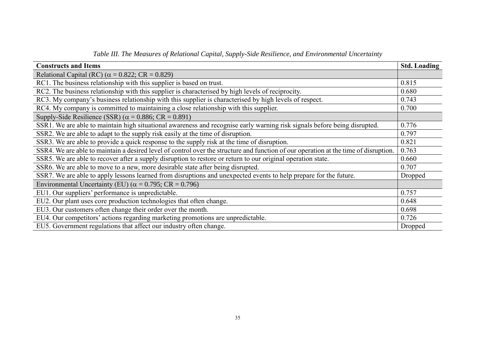| <b>Constructs and Items</b>                                                                                                          | <b>Std. Loading</b> |  |
|--------------------------------------------------------------------------------------------------------------------------------------|---------------------|--|
| Relational Capital (RC) ( $\alpha$ = 0.822; CR = 0.829)                                                                              |                     |  |
| RC1. The business relationship with this supplier is based on trust.                                                                 | 0.815               |  |
| RC2. The business relationship with this supplier is characterised by high levels of reciprocity.                                    | 0.680               |  |
| RC3. My company's business relationship with this supplier is characterised by high levels of respect.                               | 0.743               |  |
| RC4. My company is committed to maintaining a close relationship with this supplier.                                                 |                     |  |
| Supply-Side Resilience (SSR) ( $\alpha$ = 0.886; CR = 0.891)                                                                         |                     |  |
| SSR1. We are able to maintain high situational awareness and recognise early warning risk signals before being disrupted.            | 0.776               |  |
| SSR2. We are able to adapt to the supply risk easily at the time of disruption.                                                      | 0.797               |  |
| SSR3. We are able to provide a quick response to the supply risk at the time of disruption.                                          |                     |  |
| SSR4. We are able to maintain a desired level of control over the structure and function of our operation at the time of disruption. |                     |  |
| SSR5. We are able to recover after a supply disruption to restore or return to our original operation state.                         | 0.660               |  |
| SSR6. We are able to move to a new, more desirable state after being disrupted.                                                      | 0.707               |  |
| SSR7. We are able to apply lessons learned from disruptions and unexpected events to help prepare for the future.                    | Dropped             |  |
| Environmental Uncertainty (EU) ( $\alpha$ = 0.795; CR = 0.796)                                                                       |                     |  |
| EU1. Our suppliers' performance is unpredictable.                                                                                    | 0.757               |  |
| EU2. Our plant uses core production technologies that often change.                                                                  | 0.648               |  |
| EU3. Our customers often change their order over the month.                                                                          | 0.698               |  |
| EU4. Our competitors' actions regarding marketing promotions are unpredictable.                                                      | 0.726               |  |
| EU5. Government regulations that affect our industry often change.                                                                   | Dropped             |  |

*Table III. The Measures of Relational Capital, Supply-Side Resilience, and Environmental Uncertainty*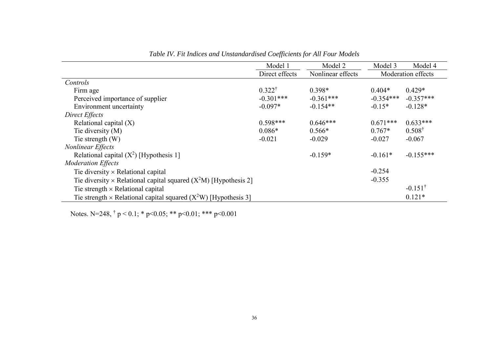|                                                                             | Model 1           | Model 2           | Model 3     | Model 4            |  |
|-----------------------------------------------------------------------------|-------------------|-------------------|-------------|--------------------|--|
|                                                                             | Direct effects    | Nonlinear effects |             | Moderation effects |  |
| Controls                                                                    |                   |                   |             |                    |  |
| Firm age                                                                    | $0.322^{\dagger}$ | $0.398*$          | $0.404*$    | $0.429*$           |  |
| Perceived importance of supplier                                            | $-0.301***$       | $-0.361***$       | $-0.354***$ | $-0.357***$        |  |
| <b>Environment</b> uncertainty                                              | $-0.097*$         | $-0.154**$        | $-0.15*$    | $-0.128*$          |  |
| Direct Effects                                                              |                   |                   |             |                    |  |
| Relational capital $(X)$                                                    | $0.598***$        | $0.646***$        | $0.671***$  | $0.633***$         |  |
| Tie diversity (M)                                                           | $0.086*$          | $0.566*$          | $0.767*$    | $0.508^{\dagger}$  |  |
| Tie strength $(W)$                                                          | $-0.021$          | $-0.029$          | $-0.027$    | $-0.067$           |  |
| <b>Nonlinear Effects</b>                                                    |                   |                   |             |                    |  |
| Relational capital $(X^2)$ [Hypothesis 1]                                   |                   | $-0.159*$         | $-0.161*$   | $-0.155***$        |  |
| <b>Moderation Effects</b>                                                   |                   |                   |             |                    |  |
| Tie diversity $\times$ Relational capital                                   |                   |                   | $-0.254$    |                    |  |
| Tie diversity $\times$ Relational capital squared ( $X^2M$ ) [Hypothesis 2] |                   |                   | $-0.355$    |                    |  |
| Tie strength $\times$ Relational capital                                    |                   |                   |             | $-0.151^{\dagger}$ |  |
| Tie strength × Relational capital squared $(X^2W)$ [Hypothesis 3]           |                   |                   |             | $0.121*$           |  |

*Table IV. Fit Indices and Unstandardised Coefficients for All Four Models*

Notes. N=248,  $\dagger$  p < 0.1; \* p<0.05; \*\* p<0.01; \*\*\* p<0.001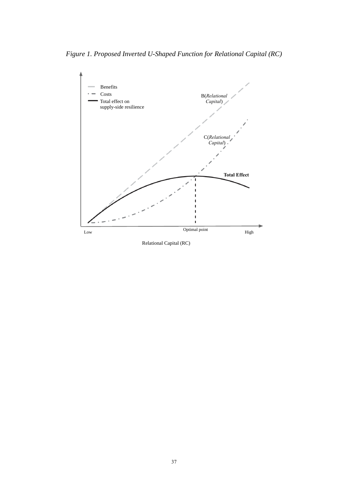*Figure 1. Proposed Inverted U-Shaped Function for Relational Capital (RC)*



Relational Capital (RC)